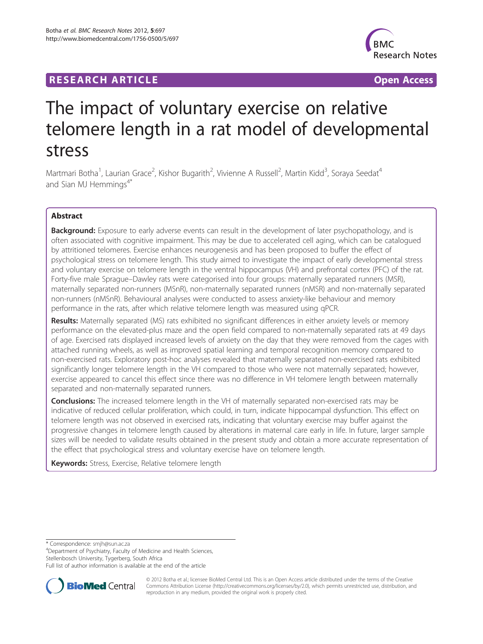# **RESEARCH ARTICLE Example 2014 CONSIDERING A RESEARCH ARTICLE**



# The impact of voluntary exercise on relative telomere length in a rat model of developmental stress

Martmari Botha<sup>1</sup>, Laurian Grace<sup>2</sup>, Kishor Bugarith<sup>2</sup>, Vivienne A Russell<sup>2</sup>, Martin Kidd<sup>3</sup>, Soraya Seedat<sup>4</sup> and Sian MJ Hemmings<sup>4\*</sup>

# Abstract

Background: Exposure to early adverse events can result in the development of later psychopathology, and is often associated with cognitive impairment. This may be due to accelerated cell aging, which can be catalogued by attritioned telomeres. Exercise enhances neurogenesis and has been proposed to buffer the effect of psychological stress on telomere length. This study aimed to investigate the impact of early developmental stress and voluntary exercise on telomere length in the ventral hippocampus (VH) and prefrontal cortex (PFC) of the rat. Forty-five male Sprague–Dawley rats were categorised into four groups: maternally separated runners (MSR), maternally separated non-runners (MSnR), non-maternally separated runners (nMSR) and non-maternally separated non-runners (nMSnR). Behavioural analyses were conducted to assess anxiety-like behaviour and memory performance in the rats, after which relative telomere length was measured using qPCR.

Results: Maternally separated (MS) rats exhibited no significant differences in either anxiety levels or memory performance on the elevated-plus maze and the open field compared to non-maternally separated rats at 49 days of age. Exercised rats displayed increased levels of anxiety on the day that they were removed from the cages with attached running wheels, as well as improved spatial learning and temporal recognition memory compared to non-exercised rats. Exploratory post-hoc analyses revealed that maternally separated non-exercised rats exhibited significantly longer telomere length in the VH compared to those who were not maternally separated; however, exercise appeared to cancel this effect since there was no difference in VH telomere length between maternally separated and non-maternally separated runners.

**Conclusions:** The increased telomere length in the VH of maternally separated non-exercised rats may be indicative of reduced cellular proliferation, which could, in turn, indicate hippocampal dysfunction. This effect on telomere length was not observed in exercised rats, indicating that voluntary exercise may buffer against the progressive changes in telomere length caused by alterations in maternal care early in life. In future, larger sample sizes will be needed to validate results obtained in the present study and obtain a more accurate representation of the effect that psychological stress and voluntary exercise have on telomere length.

**Keywords:** Stress, Exercise, Relative telomere length

\* Correspondence: [smjh@sun.ac.za](mailto:smjh@sun.ac.za) <sup>4</sup>

Department of Psychiatry, Faculty of Medicine and Health Sciences, Stellenbosch University, Tygerberg, South Africa

Full list of author information is available at the end of the article



© 2012 Botha et al.; licensee BioMed Central Ltd. This is an Open Access article distributed under the terms of the Creative Commons Attribution License [\(http://creativecommons.org/licenses/by/2.0\)](http://creativecommons.org/licenses/by/2.0), which permits unrestricted use, distribution, and reproduction in any medium, provided the original work is properly cited.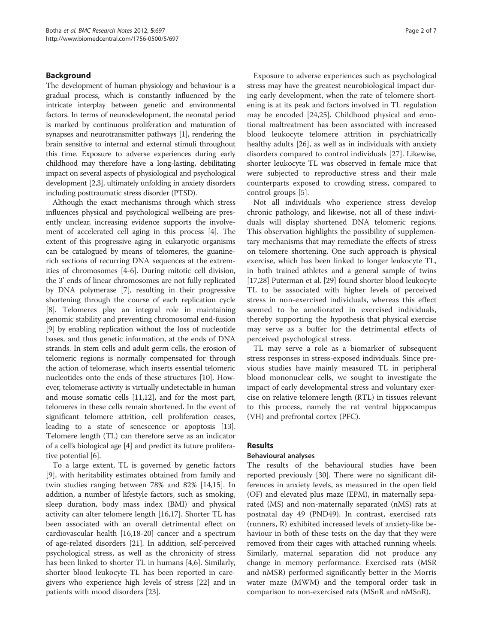# Background

The development of human physiology and behaviour is a gradual process, which is constantly influenced by the intricate interplay between genetic and environmental factors. In terms of neurodevelopment, the neonatal period is marked by continuous proliferation and maturation of synapses and neurotransmitter pathways [\[1\]](#page-5-0), rendering the brain sensitive to internal and external stimuli throughout this time. Exposure to adverse experiences during early childhood may therefore have a long-lasting, debilitating impact on several aspects of physiological and psychological development [\[2,3](#page-5-0)], ultimately unfolding in anxiety disorders including posttraumatic stress disorder (PTSD).

Although the exact mechanisms through which stress influences physical and psychological wellbeing are presently unclear, increasing evidence supports the involvement of accelerated cell aging in this process [[4](#page-5-0)]. The extent of this progressive aging in eukaryotic organisms can be catalogued by means of telomeres, the guaninerich sections of recurring DNA sequences at the extremities of chromosomes [\[4-6](#page-5-0)]. During mitotic cell division, the 3' ends of linear chromosomes are not fully replicated by DNA polymerase [\[7](#page-5-0)], resulting in their progressive shortening through the course of each replication cycle [[8\]](#page-5-0). Telomeres play an integral role in maintaining genomic stability and preventing chromosomal end-fusion [[9\]](#page-5-0) by enabling replication without the loss of nucleotide bases, and thus genetic information, at the ends of DNA strands. In stem cells and adult germ cells, the erosion of telomeric regions is normally compensated for through the action of telomerase, which inserts essential telomeric nucleotides onto the ends of these structures [\[10\]](#page-5-0). However, telomerase activity is virtually undetectable in human and mouse somatic cells [\[11,12](#page-5-0)], and for the most part, telomeres in these cells remain shortened. In the event of significant telomere attrition, cell proliferation ceases, leading to a state of senescence or apoptosis [[13](#page-5-0)]. Telomere length (TL) can therefore serve as an indicator of a cell's biological age [\[4](#page-5-0)] and predict its future proliferative potential [[6](#page-5-0)].

To a large extent, TL is governed by genetic factors [[9\]](#page-5-0), with heritability estimates obtained from family and twin studies ranging between 78% and 82% [\[14,15](#page-5-0)]. In addition, a number of lifestyle factors, such as smoking, sleep duration, body mass index (BMI) and physical activity can alter telomere length [\[16,17\]](#page-5-0). Shorter TL has been associated with an overall detrimental effect on cardiovascular health [[16](#page-5-0),[18](#page-5-0)-[20\]](#page-5-0) cancer and a spectrum of age-related disorders [[21](#page-5-0)]. In addition, self-perceived psychological stress, as well as the chronicity of stress has been linked to shorter TL in humans [\[4,6](#page-5-0)]. Similarly, shorter blood leukocyte TL has been reported in caregivers who experience high levels of stress [[22\]](#page-5-0) and in patients with mood disorders [[23\]](#page-5-0).

Exposure to adverse experiences such as psychological stress may have the greatest neurobiological impact during early development, when the rate of telomere shortening is at its peak and factors involved in TL regulation may be encoded [[24,25\]](#page-5-0). Childhood physical and emotional maltreatment has been associated with increased blood leukocyte telomere attrition in psychiatrically healthy adults [[26](#page-5-0)], as well as in individuals with anxiety disorders compared to control individuals [\[27](#page-5-0)]. Likewise, shorter leukocyte TL was observed in female mice that were subjected to reproductive stress and their male counterparts exposed to crowding stress, compared to control groups [\[5\]](#page-5-0).

Not all individuals who experience stress develop chronic pathology, and likewise, not all of these individuals will display shortened DNA telomeric regions. This observation highlights the possibility of supplementary mechanisms that may remediate the effects of stress on telomere shortening. One such approach is physical exercise, which has been linked to longer leukocyte TL, in both trained athletes and a general sample of twins [[17](#page-5-0),[28](#page-5-0)] Puterman et al. [\[29\]](#page-5-0) found shorter blood leukocyte TL to be associated with higher levels of perceived stress in non-exercised individuals, whereas this effect seemed to be ameliorated in exercised individuals, thereby supporting the hypothesis that physical exercise may serve as a buffer for the detrimental effects of perceived psychological stress.

TL may serve a role as a biomarker of subsequent stress responses in stress-exposed individuals. Since previous studies have mainly measured TL in peripheral blood mononuclear cells, we sought to investigate the impact of early developmental stress and voluntary exercise on relative telomere length (RTL) in tissues relevant to this process, namely the rat ventral hippocampus (VH) and prefrontal cortex (PFC).

# Results

### Behavioural analyses

The results of the behavioural studies have been reported previously [[30](#page-5-0)]. There were no significant differences in anxiety levels, as measured in the open field (OF) and elevated plus maze (EPM), in maternally separated (MS) and non-maternally separated (nMS) rats at postnatal day 49 (PND49). In contrast, exercised rats (runners, R) exhibited increased levels of anxiety-like behaviour in both of these tests on the day that they were removed from their cages with attached running wheels. Similarly, maternal separation did not produce any change in memory performance. Exercised rats (MSR and nMSR) performed significantly better in the Morris water maze (MWM) and the temporal order task in comparison to non-exercised rats (MSnR and nMSnR).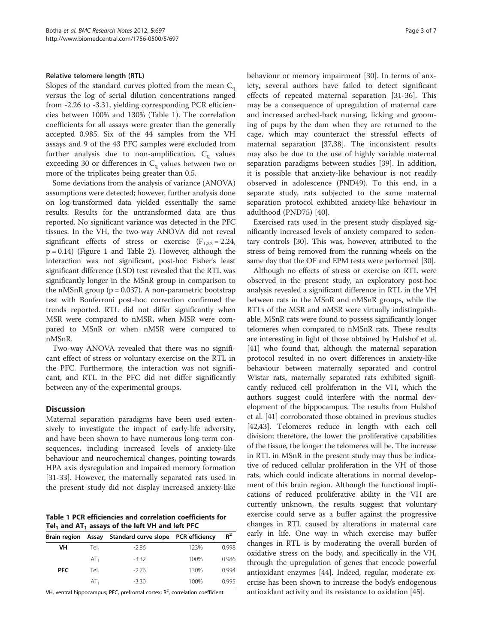#### Relative telomere length (RTL)

Slopes of the standard curves plotted from the mean  $C_q$ versus the log of serial dilution concentrations ranged from -2.26 to -3.31, yielding corresponding PCR efficiencies between 100% and 130% (Table 1). The correlation coefficients for all assays were greater than the generally accepted 0.985. Six of the 44 samples from the VH assays and 9 of the 43 PFC samples were excluded from further analysis due to non-amplification,  $C_{q}$  values exceeding 30 or differences in Cq values between two or more of the triplicates being greater than 0.5.

Some deviations from the analysis of variance (ANOVA) assumptions were detected; however, further analysis done on log-transformed data yielded essentially the same results. Results for the untransformed data are thus reported. No significant variance was detected in the PFC tissues. In the VH, the two-way ANOVA did not reveal significant effects of stress or exercise  $(F_{1,32} = 2.24,$ p = 0.14) (Figure [1](#page-3-0) and Table [2](#page-3-0)). However, although the interaction was not significant, post-hoc Fisher's least significant difference (LSD) test revealed that the RTL was significantly longer in the MSnR group in comparison to the nMSnR group ( $p = 0.037$ ). A non-parametric bootstrap test with Bonferroni post-hoc correction confirmed the trends reported. RTL did not differ significantly when MSR were compared to nMSR, when MSR were compared to MSnR or when nMSR were compared to nMSnR.

Two-way ANOVA revealed that there was no significant effect of stress or voluntary exercise on the RTL in the PFC. Furthermore, the interaction was not significant, and RTL in the PFC did not differ significantly between any of the experimental groups.

### **Discussion**

Maternal separation paradigms have been used extensively to investigate the impact of early-life adversity, and have been shown to have numerous long-term consequences, including increased levels of anxiety-like behaviour and neurochemical changes, pointing towards HPA axis dysregulation and impaired memory formation [[31-33](#page-5-0)]. However, the maternally separated rats used in the present study did not display increased anxiety-like

Table 1 PCR efficiencies and correlation coefficients for Tel<sub>1</sub> and AT<sub>1</sub> assays of the left VH and left PFC

|            |                 | Brain region Assay Standard curve slope PCR efficiency |      | $R^2$ |
|------------|-----------------|--------------------------------------------------------|------|-------|
| VH         | Tel.            | $-2.86$                                                | 123% | 0.998 |
|            | AT <sub>1</sub> | $-3.32$                                                | 100% | 0.986 |
| <b>PFC</b> | Tel.            | $-2.76$                                                | 130% | 0.994 |
|            | AT.             | $-3.30$                                                | 100% | 0995  |

VH, ventral hippocampus; PFC, prefrontal cortex;  $R^2$ , correlation coefficient.

behaviour or memory impairment [[30\]](#page-5-0). In terms of anxiety, several authors have failed to detect significant effects of repeated maternal separation [[31-](#page-5-0)[36](#page-6-0)]. This may be a consequence of upregulation of maternal care and increased arched-back nursing, licking and grooming of pups by the dam when they are returned to the cage, which may counteract the stressful effects of maternal separation [\[37,38](#page-6-0)]. The inconsistent results may also be due to the use of highly variable maternal separation paradigms between studies [[39](#page-6-0)]. In addition, it is possible that anxiety-like behaviour is not readily observed in adolescence (PND49). To this end, in a separate study, rats subjected to the same maternal separation protocol exhibited anxiety-like behaviour in adulthood (PND75) [\[40](#page-6-0)].

Exercised rats used in the present study displayed significantly increased levels of anxiety compared to sedentary controls [\[30\]](#page-5-0). This was, however, attributed to the stress of being removed from the running wheels on the same day that the OF and EPM tests were performed [\[30](#page-5-0)].

Although no effects of stress or exercise on RTL were observed in the present study, an exploratory post-hoc analysis revealed a significant difference in RTL in the VH between rats in the MSnR and nMSnR groups, while the RTLs of the MSR and nMSR were virtually indistinguishable. MSnR rats were found to possess significantly longer telomeres when compared to nMSnR rats. These results are interesting in light of those obtained by Hulshof et al. [[41](#page-6-0)] who found that, although the maternal separation protocol resulted in no overt differences in anxiety-like behaviour between maternally separated and control Wistar rats, maternally separated rats exhibited significantly reduced cell proliferation in the VH, which the authors suggest could interfere with the normal development of the hippocampus. The results from Hulshof et al. [\[41\]](#page-6-0) corroborated those obtained in previous studies [[42](#page-6-0),[43](#page-6-0)]. Telomeres reduce in length with each cell division; therefore, the lower the proliferative capabilities of the tissue, the longer the telomeres will be. The increase in RTL in MSnR in the present study may thus be indicative of reduced cellular proliferation in the VH of those rats, which could indicate alterations in normal development of this brain region. Although the functional implications of reduced proliferative ability in the VH are currently unknown, the results suggest that voluntary exercise could serve as a buffer against the progressive changes in RTL caused by alterations in maternal care early in life. One way in which exercise may buffer changes in RTL is by moderating the overall burden of oxidative stress on the body, and specifically in the VH, through the upregulation of genes that encode powerful antioxidant enzymes [\[44\]](#page-6-0). Indeed, regular, moderate exercise has been shown to increase the body's endogenous antioxidant activity and its resistance to oxidation [[45](#page-6-0)].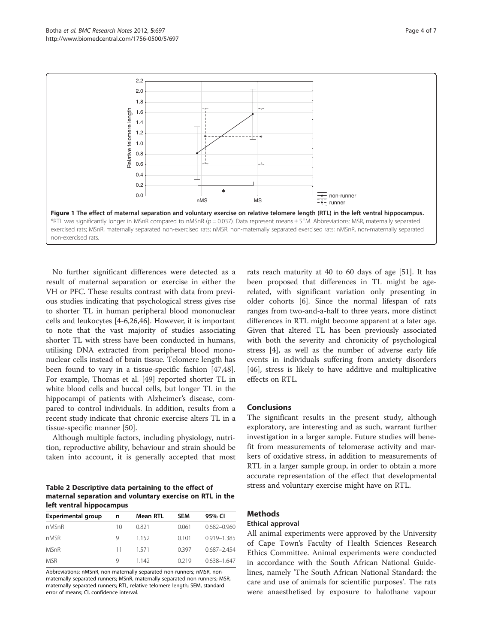

<span id="page-3-0"></span>

No further significant differences were detected as a result of maternal separation or exercise in either the VH or PFC. These results contrast with data from previous studies indicating that psychological stress gives rise to shorter TL in human peripheral blood mononuclear cells and leukocytes [\[4](#page-5-0)-[6,26,](#page-5-0)[46\]](#page-6-0). However, it is important to note that the vast majority of studies associating shorter TL with stress have been conducted in humans, utilising DNA extracted from peripheral blood mononuclear cells instead of brain tissue. Telomere length has been found to vary in a tissue-specific fashion [\[47,48](#page-6-0)]. For example, Thomas et al. [\[49](#page-6-0)] reported shorter TL in white blood cells and buccal cells, but longer TL in the hippocampi of patients with Alzheimer's disease, compared to control individuals. In addition, results from a recent study indicate that chronic exercise alters TL in a tissue-specific manner [\[50\]](#page-6-0).

Although multiple factors, including physiology, nutrition, reproductive ability, behaviour and strain should be taken into account, it is generally accepted that most

Table 2 Descriptive data pertaining to the effect of maternal separation and voluntary exercise on RTL in the left ventral hippocampus

| <b>Experimental group</b> | n  | Mean RTL | <b>SEM</b> | 95% CI          |
|---------------------------|----|----------|------------|-----------------|
| nMSnR                     | 10 | 0.821    | 0.061      | $0.682 - 0.960$ |
| nMSR                      | Q  | 1152     | 0.101      | 0.919-1.385     |
| <b>MSnR</b>               | 11 | 1571     | 0397       | $0.687 - 2.454$ |
| <b>MSR</b>                | Q  | 1 142    | 0.219      | $0.638 - 1.647$ |

Abbreviations: nMSnR, non-maternally separated non-runners; nMSR, nonmaternally separated runners; MSnR, maternally separated non-runners; MSR, maternally separated runners; RTL, relative telomere length; SEM, standard error of means; CI, confidence interval.

rats reach maturity at 40 to 60 days of age [\[51](#page-6-0)]. It has been proposed that differences in TL might be agerelated, with significant variation only presenting in older cohorts [\[6](#page-5-0)]. Since the normal lifespan of rats ranges from two-and-a-half to three years, more distinct differences in RTL might become apparent at a later age. Given that altered TL has been previously associated with both the severity and chronicity of psychological stress [\[4](#page-5-0)], as well as the number of adverse early life events in individuals suffering from anxiety disorders [[46\]](#page-6-0), stress is likely to have additive and multiplicative effects on RTL.

# **Conclusions**

The significant results in the present study, although exploratory, are interesting and as such, warrant further investigation in a larger sample. Future studies will benefit from measurements of telomerase activity and markers of oxidative stress, in addition to measurements of RTL in a larger sample group, in order to obtain a more accurate representation of the effect that developmental stress and voluntary exercise might have on RTL.

# **Methods**

#### Ethical approval

All animal experiments were approved by the University of Cape Town's Faculty of Health Sciences Research Ethics Committee. Animal experiments were conducted in accordance with the South African National Guidelines, namely 'The South African National Standard: the care and use of animals for scientific purposes'. The rats were anaesthetised by exposure to halothane vapour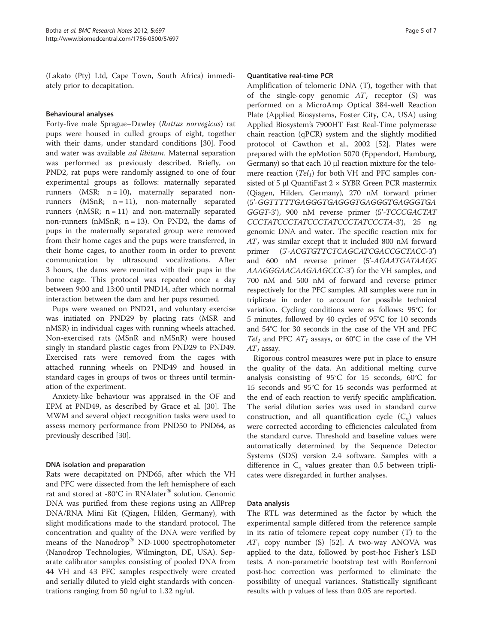(Lakato (Pty) Ltd, Cape Town, South Africa) immediately prior to decapitation.

# Behavioural analyses

Forty-five male Sprague–Dawley (Rattus norvegicus) rat pups were housed in culled groups of eight, together with their dams, under standard conditions [\[30](#page-5-0)]. Food and water was available *ad libitum*. Maternal separation was performed as previously described. Briefly, on PND2, rat pups were randomly assigned to one of four experimental groups as follows: maternally separated runners (MSR;  $n = 10$ ), maternally separated nonrunners ( $MSnR$ ;  $n = 11$ ), non-maternally separated runners ( $nMSR$ ;  $n = 11$ ) and non-maternally separated non-runners ( $nMSnR$ ;  $n = 13$ ). On PND2, the dams of pups in the maternally separated group were removed from their home cages and the pups were transferred, in their home cages, to another room in order to prevent communication by ultrasound vocalizations. After 3 hours, the dams were reunited with their pups in the home cage. This protocol was repeated once a day between 9:00 and 13:00 until PND14, after which normal interaction between the dam and her pups resumed.

Pups were weaned on PND21, and voluntary exercise was initiated on PND29 by placing rats (MSR and nMSR) in individual cages with running wheels attached. Non-exercised rats (MSnR and nMSnR) were housed singly in standard plastic cages from PND29 to PND49. Exercised rats were removed from the cages with attached running wheels on PND49 and housed in standard cages in groups of twos or threes until termination of the experiment.

Anxiety-like behaviour was appraised in the OF and EPM at PND49, as described by Grace et al. [\[30\]](#page-5-0). The MWM and several object recognition tasks were used to assess memory performance from PND50 to PND64, as previously described [\[30\]](#page-5-0).

# DNA isolation and preparation

Rats were decapitated on PND65, after which the VH and PFC were dissected from the left hemisphere of each rat and stored at -80°C in RNAlater® solution. Genomic DNA was purified from these regions using an AllPrep DNA/RNA Mini Kit (Qiagen, Hilden, Germany), with slight modifications made to the standard protocol. The concentration and quality of the DNA were verified by means of the Nanodrop<sup>®</sup> ND-1000 spectrophotometer (Nanodrop Technologies, Wilmington, DE, USA). Separate calibrator samples consisting of pooled DNA from 44 VH and 43 PFC samples respectively were created and serially diluted to yield eight standards with concentrations ranging from 50 ng/ul to 1.32 ng/ul.

#### Quantitative real-time PCR

Amplification of telomeric DNA (T), together with that of the single-copy genomic  $AT_1$  receptor (S) was performed on a MicroAmp Optical 384-well Reaction Plate (Applied Biosystems, Foster City, CA, USA) using Applied Biosystem's 7900HT Fast Real-Time polymerase chain reaction (qPCR) system and the slightly modified protocol of Cawthon et al., 2002 [[52](#page-6-0)]. Plates were prepared with the epMotion 5070 (Eppendorf, Hamburg, Germany) so that each 10 μl reaction mixture for the telomere reaction  $(Tel_1)$  for both VH and PFC samples consisted of 5 μl QuantiFast  $2 \times$  SYBR Green PCR mastermix (Qiagen, Hilden, Germany), 270 nM forward primer (5'-GGTTTTTGAGGGTGAGGGTGAGGGTGAGGGTGA GGGT-3'), 900 nM reverse primer (5'-TCCCGACTAT CCCTATCCCTATCCCTATCCCTATCCCTA-3'), 25 ng genomic DNA and water. The specific reaction mix for  $AT<sub>1</sub>$  was similar except that it included 800 nM forward primer (5'-ACGTGTTCTCAGCATCGACCGCTACC-3') and 600 nM reverse primer (5'-AGAATGATAAGG AAAGGGAACAAGAAGCCC-3') for the VH samples, and 700 nM and 500 nM of forward and reverse primer respectively for the PFC samples. All samples were run in triplicate in order to account for possible technical variation. Cycling conditions were as follows: 95°C for 5 minutes, followed by 40 cycles of 95°C for 10 seconds and 54°C for 30 seconds in the case of the VH and PFC  $Tel<sub>1</sub>$  and PFC  $AT<sub>1</sub>$  assays, or 60°C in the case of the VH  $AT<sub>1</sub>$  assay.

Rigorous control measures were put in place to ensure the quality of the data. An additional melting curve analysis consisting of 95°C for 15 seconds, 60°C for 15 seconds and 95°C for 15 seconds was performed at the end of each reaction to verify specific amplification. The serial dilution series was used in standard curve construction, and all quantification cycle  $(C_q)$  values were corrected according to efficiencies calculated from the standard curve. Threshold and baseline values were automatically determined by the Sequence Detector Systems (SDS) version 2.4 software. Samples with a difference in  $C_q$  values greater than 0.5 between triplicates were disregarded in further analyses.

### Data analysis

The RTL was determined as the factor by which the experimental sample differed from the reference sample in its ratio of telomere repeat copy number (T) to the  $AT_1$  copy number (S) [\[52\]](#page-6-0). A two-way ANOVA was applied to the data, followed by post-hoc Fisher's LSD tests. A non-parametric bootstrap test with Bonferroni post-hoc correction was performed to eliminate the possibility of unequal variances. Statistically significant results with p values of less than 0.05 are reported.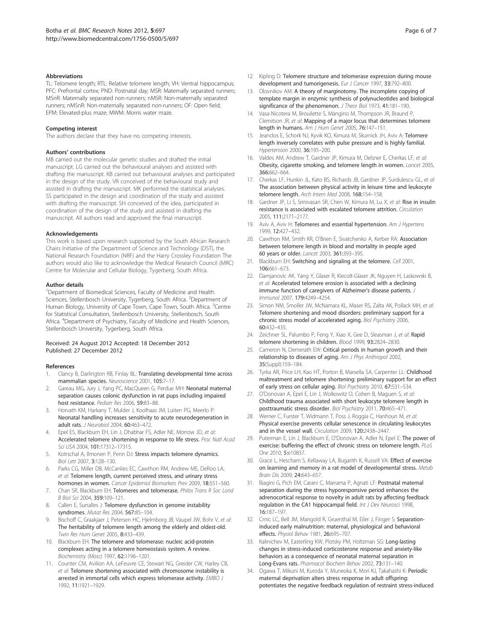#### <span id="page-5-0"></span>**Abbreviations**

TL: Telomere length; RTL: Relative telomere length; VH: Ventral hippocampus; PFC: Prefrontal cortex; PND: Postnatal day; MSR: Maternally separated runners; MSnR: Maternally separated non-runners; nMSR: Non-maternally separated runners; nMSnR: Non-maternally separated non-runners; OF: Open field; EPM: Elevated-plus maze; MWM: Morris water maze.

#### Competing interest

The authors declare that they have no competing interests.

#### Authors' contributions

MB carried out the molecular genetic studies and drafted the initial manuscript. LG carried out the behavioural analyses and assisted with drafting the manuscript. KB carried out behavioural analyses and participated in the design of the study. VR conceived of the behavioural study and assisted in drafting the manuscript. MK performed the statistical analyses. SS participated in the design and coordination of the study and assisted with drafting the manuscript. SH conceived of the idea, participated in coordination of the design of the study and assisted in drafting the manuscript. All authors read and approved the final manuscript.

#### Acknowledgements

This work is based upon research supported by the South African Research Chairs Initiative of the Department of Science and Technology (DST), the National Research Foundation (NRF) and the Harry Crossley Foundation The authors would also like to acknowledge the Medical Research Council (MRC) Centre for Molecular and Cellular Biology, Tygerberg, South Africa.

#### Author details

<sup>1</sup>Department of Biomedical Sciences, Faculty of Medicine and Health Sciences, Stellenbosch University, Tygerberg, South Africa. <sup>2</sup>Department of Human Biology, University of Cape Town, Cape Town, South Africa. <sup>3</sup>Centre for Statistical Consultation, Stellenbosch University, Stellenbosch, South Africa. <sup>4</sup>Department of Psychiatry, Faculty of Medicine and Health Sciences, Stellenbosch University, Tygerberg, South Africa.

#### Received: 24 August 2012 Accepted: 18 December 2012 Published: 27 December 2012

#### References

- 1. Clancy B, Darlington RB, Finlay BL: Translating developmental time across mammalian species. Neuroscience 2001, 105:7–17.
- Gareau MG, Jury J, Yang PC, MacQueen G, Perdue MH: Neonatal maternal separation causes colonic dysfunction in rat pups including impaired host resistance. Pediatr Res 2006, 59:83–88.
- 3. Horvath KM, Harkany T, Mulder J, Koolhaas JM, Luiten PG, Meerlo P: Neonatal handling increases sensitivity to acute neurodegeneration in adult rats. J Neurobiol 2004, 60:463-472.
- 4. Epel ES, Blackburn EH, Lin J, Dhabhar FS, Adler NE, Morrow JD, et al: Accelerated telomere shortening in response to life stress. Proc Natl Acad Sci USA 2004, 101:17312–17315.
- 5. Kotrschal A, Ilmonen P, Penn DJ: Stress impacts telomere dynamics. Biol Lett 2007, 3:128–130.
- 6. Parks CG, Miller DB, McCanlies EC, Cawthon RM, Andrew ME, DeRoo LA, et al: Telomere length, current perceived stress, and urinary stress hormones in women. Cancer Epidemiol Biomarkers Prev 2009, 18:551–560.
- 7. Chan SR, Blackburn EH: Telomeres and telomerase. Philos Trans R Soc Lond B Biol Sci 2004, 359:109–121.
- 8. Callen E, Surralles J: Telomere dysfunction in genome instability syndromes. Mutat Res 2004, 567:85–104.
- Bischoff C, Graakjaer J, Petersen HC, Hjelmborg JB, Vaupel JW, Bohr V, et al: The heritability of telomere length among the elderly and oldest-old. Twin Res Hum Genet 2005, 8:433–439.
- 10. Blackburn EH: The telomere and telomerase: nucleic acid-protein complexes acting in a telomere homeostasis system. A review. Biochemistry (Mosc) 1997, 62:1196–1201.
- 11. Counter CM, Avilion AA, LeFeuvre CE, Stewart NG, Greider CW, Harley CB, et al: Telomere shortening associated with chromosome instability is arrested in immortal cells which express telomerase activity. FMBO / 1992, 11:1921–1929.
- 12. Kipling D: Telomere structure and telomerase expression during mouse development and tumorigenesis. Eur J Cancer 1997, 33:792-800.
- 13. Olovnikov AM: A theory of marginotomy. The incomplete copying of template margin in enzymic synthesis of polynucleotides and biological significance of the phenomenon. J Theor Biol 1973, 41:181-190.
- 14. Vasa-Nicotera M, Brouilette S, Mangino M, Thompson JR, Braund P, Clemitson JR, et al: Mapping of a major locus that determines telomere length in humans. Am J Hum Genet 2005, 76:147–151.
- 15. Jeanclos E, Schork NJ, Kyvik KO, Kimura M, Skurnick JH, Aviv A: Telomere length inversely correlates with pulse pressure and is highly familial. Hypertension 2000, 36:195–200.
- 16. Valdes AM, Andrew T, Gardner JP, Kimura M, Oelsner E, Cherkas LF, et al: Obesity, cigarette smoking, and telomere length in women. Lancet 2005, 366:662–664.
- 17. Cherkas LF, Hunkin JL, Kato BS, Richards JB, Gardner JP, Surdulescu GL, et al: The association between physical activity in leisure time and leukocyte telomere length. Arch Intern Med 2008, 168:154–158.
- 18. Gardner JP, Li S, Srinivasan SR, Chen W, Kimura M, Lu X, et al: Rise in insulin resistance is associated with escalated telomere attrition. Circulation 2005, 111:2171–2177.
- 19. Aviv A, Aviv H: Telomeres and essential hypertension. Am J Hypertens 1999, 12:427–432.
- 20. Cawthon RM, Smith KR, O'Brien E, Sivatchenko A, Kerber RA: Association between telomere length in blood and mortality in people aged 60 years or older. Lancet 2003, 361:393–395.
- 21. Blackburn EH: Switching and signaling at the telomere. Cell 2001, 106:661–673.
- 22. Damjanovic AK, Yang Y, Glaser R, Kiecolt-Glaser JK, Nguyen H, Laskowski B, et al: Accelerated telomere erosion is associated with a declining immune function of caregivers of Alzheimer's disease patients. Immunol 2007, 179:4249–4254.
- 23. Simon NM, Smoller JW, McNamara KL, Maser RS, Zalta AK, Pollack MH, et al: Telomere shortening and mood disorders: preliminary support for a chronic stress model of accelerated aging. Biol Psychiatry 2006, 60:432–435.
- 24. Zeichner SL, Palumbo P, Feng Y, Xiao X, Gee D, Sleasman J, et al: Rapid telomere shortening in children. Blood 1999, 93:2824–2830.
- 25. Cameron N, Demerath EW: Critical periods in human growth and their relationship to diseases of aging. Am J Phys Anthropol 2002, 35(Suppl):159–184.
- 26. Tyrka AR, Price LH, Kao HT, Porton B, Marsella SA, Carpenter LL: Childhood maltreatment and telomere shortening: preliminary support for an effect of early stress on cellular aging. Biol Psychiatry 2010, 67:531–534.
- 27. O'Donovan A, Epel E, Lin J, Wolkowitz O, Cohen B, Maguen S, et al: Childhood trauma associated with short leukocyte telomere length in posttraumatic stress disorder. Biol Psychiatry 2011, 70:465–471.
- Werner C, Furster T, Widmann T, Poss J, Roggia C, Hanhoun M, et al: Physical exercise prevents cellular senescence in circulating leukocytes and in the vessel wall. Circulation 2009, 120:2438–2447.
- 29. Puterman E, Lin J, Blackburn E, O'Donovan A, Adler N, Epel E: The power of exercise: buffering the effect of chronic stress on telomere length. PLoS One 2010, 5:e10837.
- 30. Grace L, Hescham S, Kellaway LA, Bugarith K, Russell VA: Effect of exercise on learning and memory in a rat model of developmental stress. Metab Brain Dis 2009, 24:643-657.
- 31. Biagini G, Pich EM, Carani C, Marrama P, Agnati LF: Postnatal maternal separation during the stress hyporesponsive period enhances the adrenocortical response to novelty in adult rats by affecting feedback regulation in the CA1 hippocampal field. Int J Dev Neurosci 1998, 16:187–197.
- 32. Crnic LC, Bell JM, Mangold R, Gruenthal M, Eiler J, Finger S: Separationinduced early malnutrition: maternal, physiological and behavioral effects. Physiol Behav 1981, 26:695–707.
- 33. Kalinichev M, Easterling KW, Plotsky PM, Holtzman SG: Long-lasting changes in stress-induced corticosterone response and anxiety-like behaviors as a consequence of neonatal maternal separation in Long-Evans rats. Pharmacol Biochem Behav 2002, 73:131–140.
- 34. Ogawa T, Mikuni M, Kuroda Y, Muneoka K, Mori KJ, Takahashi K: Periodic maternal deprivation alters stress response in adult offspring: potentiates the negative feedback regulation of restraint stress-induced